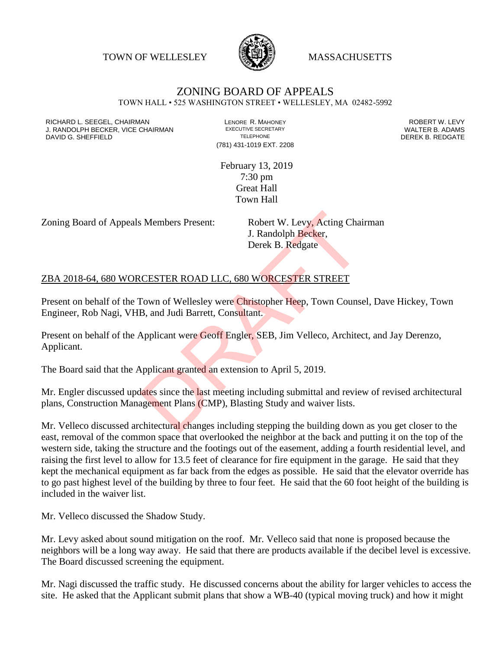TOWN OF WELLESLEY **WASSACHUSETTS** 



## ZONING BOARD OF APPEALS

TOWN HALL • 525 WASHINGTON STREET • WELLESLEY, MA 02482-5992

RICHARD L. SEEGEL, CHAIRMAN LENORE R. MAHONEY ROBERT W. LEVY J. RANDOLPH BECKER, VICE CHAIRMAN EXECUTIVE SECRETARY THE SECRETARY THE SANDOLPH BECKER B. ADAMS<br>DEREK B. REDGATE DAVID G. SHEFFIELD

(781) 431-1019 EXT. 2208

February 13, 2019 7:30 pm Great Hall Town Hall

Zoning Board of Appeals Members Present: Robert W. Levy, Acting Chairman

J. Randolph Becker, Derek B. Redgate

## ZBA 2018-64, 680 WORCESTER ROAD LLC, 680 WORCESTER STREET

Present on behalf of the Town of Wellesley were Christopher Heep, Town Counsel, Dave Hickey, Town Engineer, Rob Nagi, VHB, and Judi Barrett, Consultant.

Present on behalf of the Applicant were Geoff Engler, SEB, Jim Velleco, Architect, and Jay Derenzo, Applicant. S. Members Present: Robert W. Levy, Acting Chain<br>
J. Randolph Becker,<br>
Derek B. Redgate<br>
CESTER ROAD LLC, 680 WORCESTER STREET<br>
Fown of Wellesley were Christopher Heep, Town Counse<br>
B, and Judi Barrett, Consultant.<br>
Applic

The Board said that the Applicant granted an extension to April 5, 2019.

Mr. Engler discussed updates since the last meeting including submittal and review of revised architectural plans, Construction Management Plans (CMP), Blasting Study and waiver lists.

Mr. Velleco discussed architectural changes including stepping the building down as you get closer to the east, removal of the common space that overlooked the neighbor at the back and putting it on the top of the western side, taking the structure and the footings out of the easement, adding a fourth residential level, and raising the first level to allow for 13.5 feet of clearance for fire equipment in the garage. He said that they kept the mechanical equipment as far back from the edges as possible. He said that the elevator override has to go past highest level of the building by three to four feet. He said that the 60 foot height of the building is included in the waiver list.

Mr. Velleco discussed the Shadow Study.

Mr. Levy asked about sound mitigation on the roof. Mr. Velleco said that none is proposed because the neighbors will be a long way away. He said that there are products available if the decibel level is excessive. The Board discussed screening the equipment.

Mr. Nagi discussed the traffic study. He discussed concerns about the ability for larger vehicles to access the site. He asked that the Applicant submit plans that show a WB-40 (typical moving truck) and how it might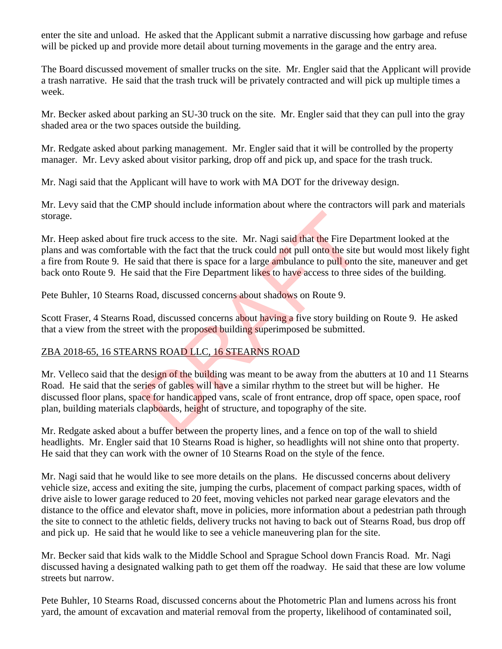enter the site and unload. He asked that the Applicant submit a narrative discussing how garbage and refuse will be picked up and provide more detail about turning movements in the garage and the entry area.

The Board discussed movement of smaller trucks on the site. Mr. Engler said that the Applicant will provide a trash narrative. He said that the trash truck will be privately contracted and will pick up multiple times a week.

Mr. Becker asked about parking an SU-30 truck on the site. Mr. Engler said that they can pull into the gray shaded area or the two spaces outside the building.

Mr. Redgate asked about parking management. Mr. Engler said that it will be controlled by the property manager. Mr. Levy asked about visitor parking, drop off and pick up, and space for the trash truck.

Mr. Nagi said that the Applicant will have to work with MA DOT for the driveway design.

Mr. Levy said that the CMP should include information about where the contractors will park and materials storage.

Mr. Heep asked about fire truck access to the site. Mr. Nagi said that the Fire Department looked at the plans and was comfortable with the fact that the truck could not pull onto the site but would most likely fight a fire from Route 9. He said that there is space for a large ambulance to pull onto the site, maneuver and get back onto Route 9. He said that the Fire Department likes to have access to three sides of the building. e truck access to the site. Mr. Nagi said that the Fire Deple with the fact that the truck could not pull onto the site<br>said that there is space for a large ambulance to pull onto the site<br>aid that the Fire Department like

Pete Buhler, 10 Stearns Road, discussed concerns about shadows on Route 9.

Scott Fraser, 4 Stearns Road, discussed concerns about having a five story building on Route 9. He asked that a view from the street with the proposed building superimposed be submitted.

## ZBA 2018-65, 16 STEARNS ROAD LLC, 16 STEARNS ROAD

Mr. Velleco said that the design of the building was meant to be away from the abutters at 10 and 11 Stearns Road. He said that the series of gables will have a similar rhythm to the street but will be higher. He discussed floor plans, space for handicapped vans, scale of front entrance, drop off space, open space, roof plan, building materials clapboards, height of structure, and topography of the site.

Mr. Redgate asked about a buffer between the property lines, and a fence on top of the wall to shield headlights. Mr. Engler said that 10 Stearns Road is higher, so headlights will not shine onto that property. He said that they can work with the owner of 10 Stearns Road on the style of the fence.

Mr. Nagi said that he would like to see more details on the plans. He discussed concerns about delivery vehicle size, access and exiting the site, jumping the curbs, placement of compact parking spaces, width of drive aisle to lower garage reduced to 20 feet, moving vehicles not parked near garage elevators and the distance to the office and elevator shaft, move in policies, more information about a pedestrian path through the site to connect to the athletic fields, delivery trucks not having to back out of Stearns Road, bus drop off and pick up. He said that he would like to see a vehicle maneuvering plan for the site.

Mr. Becker said that kids walk to the Middle School and Sprague School down Francis Road. Mr. Nagi discussed having a designated walking path to get them off the roadway. He said that these are low volume streets but narrow.

Pete Buhler, 10 Stearns Road, discussed concerns about the Photometric Plan and lumens across his front yard, the amount of excavation and material removal from the property, likelihood of contaminated soil,